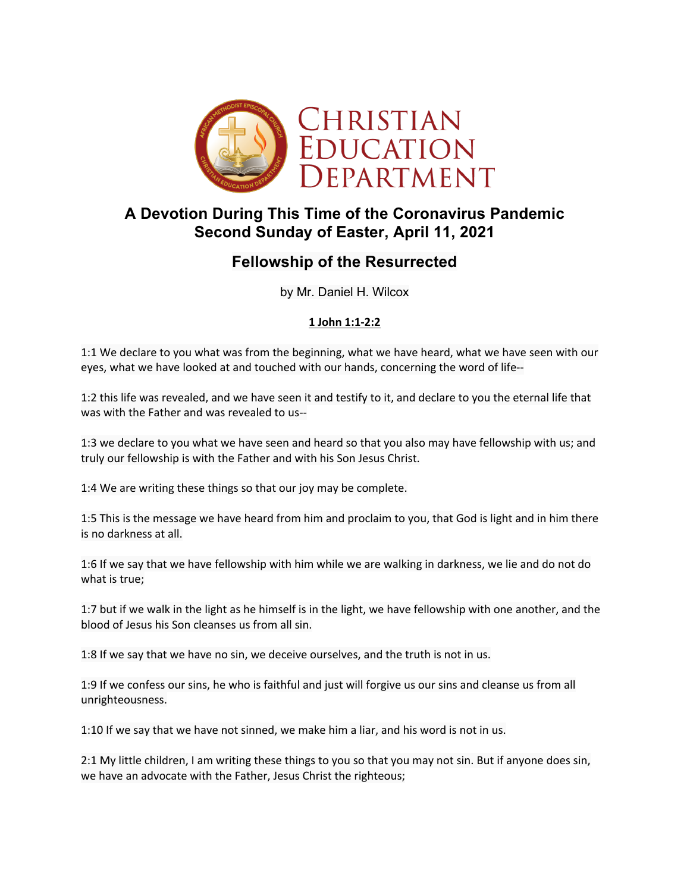

# **A Devotion During This Time of the Coronavirus Pandemic Second Sunday of Easter, April 11, 2021**

# **Fellowship of the Resurrected**

by Mr. Daniel H. Wilcox

### **1 John 1:1-2:2**

1:1 We declare to you what was from the beginning, what we have heard, what we have seen with our eyes, what we have looked at and touched with our hands, concerning the word of life--

1:2 this life was revealed, and we have seen it and testify to it, and declare to you the eternal life that was with the Father and was revealed to us--

1:3 we declare to you what we have seen and heard so that you also may have fellowship with us; and truly our fellowship is with the Father and with his Son Jesus Christ.

1:4 We are writing these things so that our joy may be complete.

1:5 This is the message we have heard from him and proclaim to you, that God is light and in him there is no darkness at all.

1:6 If we say that we have fellowship with him while we are walking in darkness, we lie and do not do what is true;

1:7 but if we walk in the light as he himself is in the light, we have fellowship with one another, and the blood of Jesus his Son cleanses us from all sin.

1:8 If we say that we have no sin, we deceive ourselves, and the truth is not in us.

1:9 If we confess our sins, he who is faithful and just will forgive us our sins and cleanse us from all unrighteousness.

1:10 If we say that we have not sinned, we make him a liar, and his word is not in us.

2:1 My little children, I am writing these things to you so that you may not sin. But if anyone does sin, we have an advocate with the Father, Jesus Christ the righteous;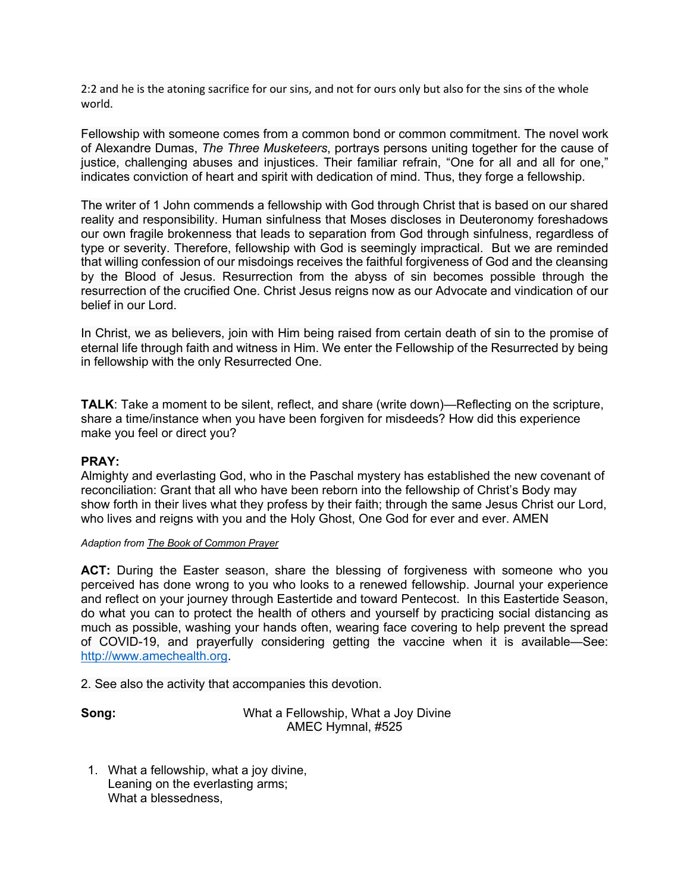2:2 and he is the atoning sacrifice for our sins, and not for ours only but also for the sins of the whole world.

Fellowship with someone comes from a common bond or common commitment. The novel work of Alexandre Dumas, *The Three Musketeers*, portrays persons uniting together for the cause of justice, challenging abuses and injustices. Their familiar refrain, "One for all and all for one," indicates conviction of heart and spirit with dedication of mind. Thus, they forge a fellowship.

The writer of 1 John commends a fellowship with God through Christ that is based on our shared reality and responsibility. Human sinfulness that Moses discloses in Deuteronomy foreshadows our own fragile brokenness that leads to separation from God through sinfulness, regardless of type or severity. Therefore, fellowship with God is seemingly impractical. But we are reminded that willing confession of our misdoings receives the faithful forgiveness of God and the cleansing by the Blood of Jesus. Resurrection from the abyss of sin becomes possible through the resurrection of the crucified One. Christ Jesus reigns now as our Advocate and vindication of our belief in our Lord.

In Christ, we as believers, join with Him being raised from certain death of sin to the promise of eternal life through faith and witness in Him. We enter the Fellowship of the Resurrected by being in fellowship with the only Resurrected One.

**TALK**: Take a moment to be silent, reflect, and share (write down)—Reflecting on the scripture, share a time/instance when you have been forgiven for misdeeds? How did this experience make you feel or direct you?

#### **PRAY:**

Almighty and everlasting God, who in the Paschal mystery has established the new covenant of reconciliation: Grant that all who have been reborn into the fellowship of Christ's Body may show forth in their lives what they profess by their faith; through the same Jesus Christ our Lord, who lives and reigns with you and the Holy Ghost, One God for ever and ever. AMEN

#### *Adaption from The Book of Common Prayer*

ACT: During the Easter season, share the blessing of forgiveness with someone who you perceived has done wrong to you who looks to a renewed fellowship. Journal your experience and reflect on your journey through Eastertide and toward Pentecost. In this Eastertide Season, do what you can to protect the health of others and yourself by practicing social distancing as much as possible, washing your hands often, wearing face covering to help prevent the spread of COVID-19, and prayerfully considering getting the vaccine when it is available—See: http://www.amechealth.org.

2. See also the activity that accompanies this devotion.

**Song:** What a Fellowship, What a Joy Divine AMEC Hymnal, #525

1. What a fellowship, what a joy divine, Leaning on the everlasting arms; What a blessedness,